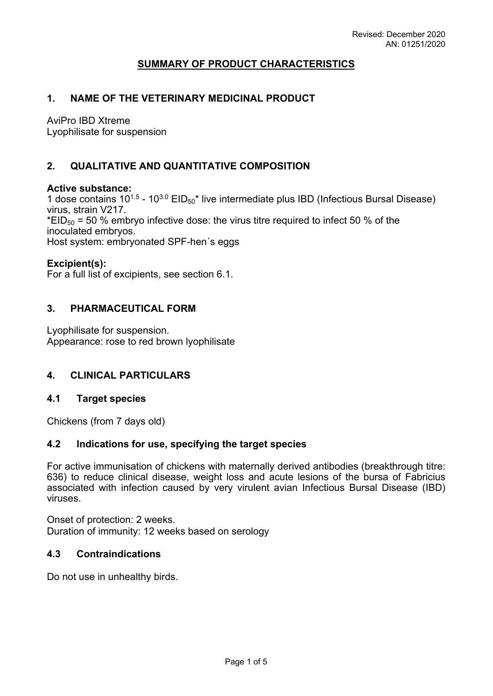# **SUMMARY OF PRODUCT CHARACTERISTICS**

## **1. NAME OF THE VETERINARY MEDICINAL PRODUCT**

AviPro IBD Xtreme

Lyophilisate for suspension

# **2. QUALITATIVE AND QUANTITATIVE COMPOSITION**

### **Active substance:**

1 dose contains  $10^{1.5}$  -  $10^{3.0}$  EID<sub>50</sub><sup>\*</sup> live intermediate plus IBD (Infectious Bursal Disease) virus, strain V217.  $*EID_{50} = 50$  % embryo infective dose: the virus titre required to infect 50 % of the inoculated embryos. Host system: embryonated SPF-hen´s eggs

### **Excipient(s):**

For a full list of excipients, see section 6.1.

## **3. PHARMACEUTICAL FORM**

Lyophilisate for suspension. Appearance: rose to red brown lyophilisate

## **4. CLINICAL PARTICULARS**

## **4.1 Target species**

Chickens (from 7 days old)

## **4.2 Indications for use, specifying the target species**

For active immunisation of chickens with maternally derived antibodies (breakthrough titre: 636) to reduce clinical disease, weight loss and acute lesions of the bursa of Fabricius associated with infection caused by very virulent avian Infectious Bursal Disease (IBD) viruses.

Onset of protection: 2 weeks. Duration of immunity: 12 weeks based on serology

## **4.3 Contraindications**

Do not use in unhealthy birds.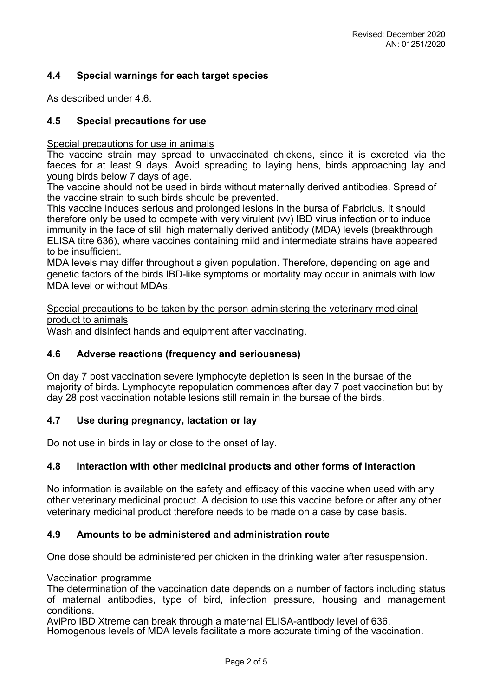# **4.4 Special warnings for each target species**

As described under 4.6.

## **4.5 Special precautions for use**

Special precautions for use in animals

The vaccine strain may spread to unvaccinated chickens, since it is excreted via the faeces for at least 9 days. Avoid spreading to laying hens, birds approaching lay and young birds below 7 days of age.

The vaccine should not be used in birds without maternally derived antibodies. Spread of the vaccine strain to such birds should be prevented.

This vaccine induces serious and prolonged lesions in the bursa of Fabricius. It should therefore only be used to compete with very virulent (vv) IBD virus infection or to induce immunity in the face of still high maternally derived antibody (MDA) levels (breakthrough ELISA titre 636), where vaccines containing mild and intermediate strains have appeared to be insufficient.

MDA levels may differ throughout a given population. Therefore, depending on age and genetic factors of the birds IBD-like symptoms or mortality may occur in animals with low MDA level or without MDAs.

Special precautions to be taken by the person administering the veterinary medicinal product to animals

Wash and disinfect hands and equipment after vaccinating.

### **4.6 Adverse reactions (frequency and seriousness)**

On day 7 post vaccination severe lymphocyte depletion is seen in the bursae of the majority of birds. Lymphocyte repopulation commences after day 7 post vaccination but by day 28 post vaccination notable lesions still remain in the bursae of the birds.

### **4.7 Use during pregnancy, lactation or lay**

Do not use in birds in lay or close to the onset of lay.

### **4.8 Interaction with other medicinal products and other forms of interaction**

No information is available on the safety and efficacy of this vaccine when used with any other veterinary medicinal product. A decision to use this vaccine before or after any other veterinary medicinal product therefore needs to be made on a case by case basis.

### **4.9 Amounts to be administered and administration route**

One dose should be administered per chicken in the drinking water after resuspension.

Vaccination programme

The determination of the vaccination date depends on a number of factors including status of maternal antibodies, type of bird, infection pressure, housing and management conditions.

AviPro IBD Xtreme can break through a maternal ELISA-antibody level of 636. Homogenous levels of MDA levels facilitate a more accurate timing of the vaccination.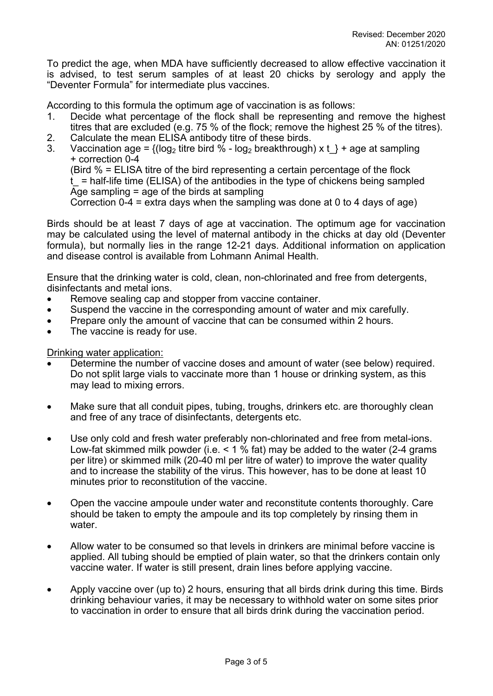To predict the age, when MDA have sufficiently decreased to allow effective vaccination it is advised, to test serum samples of at least 20 chicks by serology and apply the "Deventer Formula" for intermediate plus vaccines.

According to this formula the optimum age of vaccination is as follows:

- 1. Decide what percentage of the flock shall be representing and remove the highest titres that are excluded (e.g. 75 % of the flock; remove the highest 25 % of the titres).
- 2. Calculate the mean ELISA antibody titre of these birds.
- 3. Vaccination age =  $\{(\text{log}_2 \text{ titre bird } \% \text{log}_2 \text{ breakthrough}) \times t\}$  + age at sampling + correction 0-4

(Bird % = ELISA titre of the bird representing a certain percentage of the flock

 $t$  = half-life time (ELISA) of the antibodies in the type of chickens being sampled Age sampling = age of the birds at sampling

Correction 0-4 = extra days when the sampling was done at 0 to 4 days of age)

Birds should be at least 7 days of age at vaccination. The optimum age for vaccination may be calculated using the level of maternal antibody in the chicks at day old (Deventer formula), but normally lies in the range 12-21 days. Additional information on application and disease control is available from Lohmann Animal Health.

Ensure that the drinking water is cold, clean, non-chlorinated and free from detergents, disinfectants and metal ions.

- Remove sealing cap and stopper from vaccine container.
- Suspend the vaccine in the corresponding amount of water and mix carefully.
- Prepare only the amount of vaccine that can be consumed within 2 hours.
- The vaccine is ready for use.

Drinking water application:

- Determine the number of vaccine doses and amount of water (see below) required. Do not split large vials to vaccinate more than 1 house or drinking system, as this may lead to mixing errors.
- Make sure that all conduit pipes, tubing, troughs, drinkers etc. are thoroughly clean and free of any trace of disinfectants, detergents etc.
- Use only cold and fresh water preferably non-chlorinated and free from metal-ions. Low-fat skimmed milk powder (i.e.  $\leq 1\%$  fat) may be added to the water (2-4 grams per litre) or skimmed milk (20-40 ml per litre of water) to improve the water quality and to increase the stability of the virus. This however, has to be done at least 10 minutes prior to reconstitution of the vaccine.
- Open the vaccine ampoule under water and reconstitute contents thoroughly. Care should be taken to empty the ampoule and its top completely by rinsing them in water.
- Allow water to be consumed so that levels in drinkers are minimal before vaccine is applied. All tubing should be emptied of plain water, so that the drinkers contain only vaccine water. If water is still present, drain lines before applying vaccine.
- Apply vaccine over (up to) 2 hours, ensuring that all birds drink during this time. Birds drinking behaviour varies, it may be necessary to withhold water on some sites prior to vaccination in order to ensure that all birds drink during the vaccination period.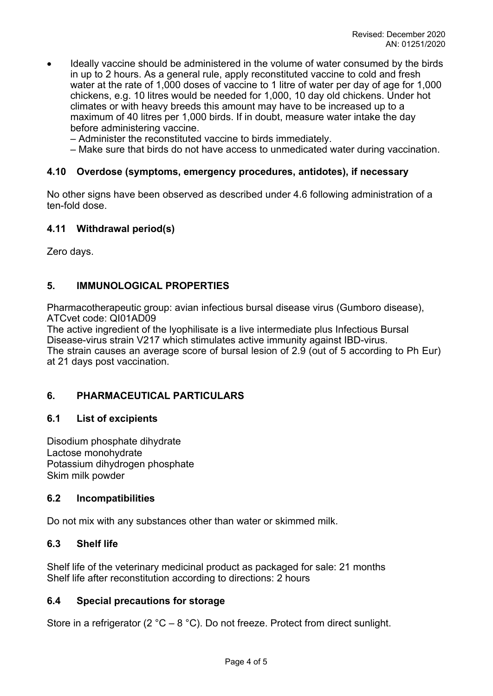- Ideally vaccine should be administered in the volume of water consumed by the birds in up to 2 hours. As a general rule, apply reconstituted vaccine to cold and fresh water at the rate of 1,000 doses of vaccine to 1 litre of water per day of age for 1,000 chickens, e.g. 10 litres would be needed for 1,000, 10 day old chickens. Under hot climates or with heavy breeds this amount may have to be increased up to a maximum of 40 litres per 1,000 birds. If in doubt, measure water intake the day before administering vaccine.
	- Administer the reconstituted vaccine to birds immediately.
	- Make sure that birds do not have access to unmedicated water during vaccination.

### **4.10 Overdose (symptoms, emergency procedures, antidotes), if necessary**

No other signs have been observed as described under 4.6 following administration of a ten-fold dose.

### **4.11 Withdrawal period(s)**

Zero days.

## **5. IMMUNOLOGICAL PROPERTIES**

Pharmacotherapeutic group: avian infectious bursal disease virus (Gumboro disease), ATCvet code: QI01AD09

The active ingredient of the lyophilisate is a live intermediate plus Infectious Bursal Disease-virus strain V217 which stimulates active immunity against IBD-virus. The strain causes an average score of bursal lesion of 2.9 (out of 5 according to Ph Eur) at 21 days post vaccination.

## **6. PHARMACEUTICAL PARTICULARS**

## **6.1 List of excipients**

Disodium phosphate dihydrate Lactose monohydrate Potassium dihydrogen phosphate Skim milk powder

## **6.2 Incompatibilities**

Do not mix with any substances other than water or skimmed milk.

## **6.3 Shelf life**

Shelf life of the veterinary medicinal product as packaged for sale: 21 months Shelf life after reconstitution according to directions: 2 hours

## **6.4 Special precautions for storage**

Store in a refrigerator (2 °C – 8 °C). Do not freeze. Protect from direct sunlight.